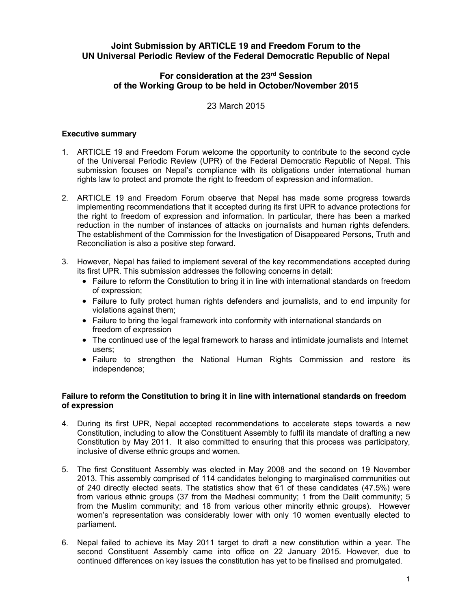# **Joint Submission by ARTICLE 19 and Freedom Forum to the UN Universal Periodic Review of the Federal Democratic Republic of Nepal**

# **For consideration at the 23rd Session of the Working Group to be held in October/November 2015**

23 March 2015

## **Executive summary**

- 1. ARTICLE 19 and Freedom Forum welcome the opportunity to contribute to the second cycle of the Universal Periodic Review (UPR) of the Federal Democratic Republic of Nepal. This submission focuses on Nepal's compliance with its obligations under international human rights law to protect and promote the right to freedom of expression and information.
- 2. ARTICLE 19 and Freedom Forum observe that Nepal has made some progress towards implementing recommendations that it accepted during its first UPR to advance protections for the right to freedom of expression and information. In particular, there has been a marked reduction in the number of instances of attacks on journalists and human rights defenders. The establishment of the Commission for the Investigation of Disappeared Persons, Truth and Reconciliation is also a positive step forward.
- 3. However, Nepal has failed to implement several of the key recommendations accepted during its first UPR. This submission addresses the following concerns in detail:
	- Failure to reform the Constitution to bring it in line with international standards on freedom of expression;
	- Failure to fully protect human rights defenders and journalists, and to end impunity for violations against them;
	- Failure to bring the legal framework into conformity with international standards on freedom of expression
	- The continued use of the legal framework to harass and intimidate journalists and Internet users;
	- Failure to strengthen the National Human Rights Commission and restore its independence;

## **Failure to reform the Constitution to bring it in line with international standards on freedom of expression**

- 4. During its first UPR, Nepal accepted recommendations to accelerate steps towards a new Constitution, including to allow the Constituent Assembly to fulfil its mandate of drafting a new Constitution by May 2011. It also committed to ensuring that this process was participatory, inclusive of diverse ethnic groups and women.
- 5. The first Constituent Assembly was elected in May 2008 and the second on 19 November 2013. This assembly comprised of 114 candidates belonging to marginalised communities out of 240 directly elected seats. The statistics show that 61 of these candidates (47.5%) were from various ethnic groups (37 from the Madhesi community; 1 from the Dalit community; 5 from the Muslim community; and 18 from various other minority ethnic groups). However women's representation was considerably lower with only 10 women eventually elected to parliament.
- 6. Nepal failed to achieve its May 2011 target to draft a new constitution within a year. The second Constituent Assembly came into office on 22 January 2015. However, due to continued differences on key issues the constitution has yet to be finalised and promulgated.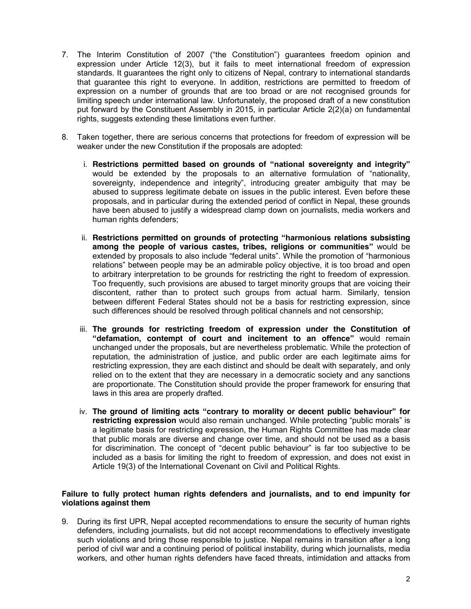- 7. The Interim Constitution of 2007 ("the Constitution") guarantees freedom opinion and expression under Article 12(3), but it fails to meet international freedom of expression standards. It guarantees the right only to citizens of Nepal, contrary to international standards that guarantee this right to everyone. In addition, restrictions are permitted to freedom of expression on a number of grounds that are too broad or are not recognised grounds for limiting speech under international law. Unfortunately, the proposed draft of a new constitution put forward by the Constituent Assembly in 2015, in particular Article 2(2)(a) on fundamental rights, suggests extending these limitations even further.
- 8. Taken together, there are serious concerns that protections for freedom of expression will be weaker under the new Constitution if the proposals are adopted:
	- i. **Restrictions permitted based on grounds of "national sovereignty and integrity"** would be extended by the proposals to an alternative formulation of "nationality, sovereignty, independence and integrity", introducing greater ambiguity that may be abused to suppress legitimate debate on issues in the public interest. Even before these proposals, and in particular during the extended period of conflict in Nepal, these grounds have been abused to justify a widespread clamp down on journalists, media workers and human rights defenders;
	- ii. **Restrictions permitted on grounds of protecting "harmonious relations subsisting among the people of various castes, tribes, religions or communities"** would be extended by proposals to also include "federal units". While the promotion of "harmonious relations" between people may be an admirable policy objective, it is too broad and open to arbitrary interpretation to be grounds for restricting the right to freedom of expression. Too frequently, such provisions are abused to target minority groups that are voicing their discontent, rather than to protect such groups from actual harm. Similarly, tension between different Federal States should not be a basis for restricting expression, since such differences should be resolved through political channels and not censorship;
	- iii. **The grounds for restricting freedom of expression under the Constitution of "defamation, contempt of court and incitement to an offence"** would remain unchanged under the proposals, but are nevertheless problematic. While the protection of reputation, the administration of justice, and public order are each legitimate aims for restricting expression, they are each distinct and should be dealt with separately, and only relied on to the extent that they are necessary in a democratic society and any sanctions are proportionate. The Constitution should provide the proper framework for ensuring that laws in this area are properly drafted.
	- iv. **The ground of limiting acts "contrary to morality or decent public behaviour" for restricting expression** would also remain unchanged. While protecting "public morals" is a legitimate basis for restricting expression, the Human Rights Committee has made clear that public morals are diverse and change over time, and should not be used as a basis for discrimination. The concept of "decent public behaviour" is far too subjective to be included as a basis for limiting the right to freedom of expression, and does not exist in Article 19(3) of the International Covenant on Civil and Political Rights.

### **Failure to fully protect human rights defenders and journalists, and to end impunity for violations against them**

9. During its first UPR, Nepal accepted recommendations to ensure the security of human rights defenders, including journalists, but did not accept recommendations to effectively investigate such violations and bring those responsible to justice. Nepal remains in transition after a long period of civil war and a continuing period of political instability, during which journalists, media workers, and other human rights defenders have faced threats, intimidation and attacks from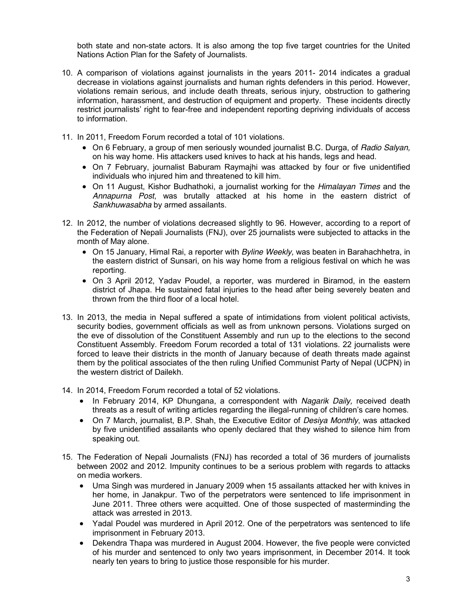both state and non-state actors. It is also among the top five target countries for the United Nations Action Plan for the Safety of Journalists.

- 10. A comparison of violations against journalists in the years 2011- 2014 indicates a gradual decrease in violations against journalists and human rights defenders in this period. However, violations remain serious, and include death threats, serious injury, obstruction to gathering information, harassment, and destruction of equipment and property. These incidents directly restrict journalists' right to fear-free and independent reporting depriving individuals of access to information.
- 11. In 2011, Freedom Forum recorded a total of 101 violations.
	- x On 6 February, a group of men seriously wounded journalist B.C. Durga, of *Radio Salyan,* on his way home. His attackers used knives to hack at his hands, legs and head.
	- On 7 February, journalist Baburam Raymaihi was attacked by four or five unidentified individuals who injured him and threatened to kill him.
	- x On 11 August, Kishor Budhathoki, a journalist working for the *Himalayan Times* and the *Annapurna Post*, was brutally attacked at his home in the eastern district of *Sankhuwasabha* by armed assailants.
- 12. In 2012, the number of violations decreased slightly to 96. However, according to a report of the Federation of Nepali Journalists (FNJ), over 25 journalists were subjected to attacks in the month of May alone.
	- On 15 January, Himal Rai, a reporter with *Byline Weekly*, was beaten in Barahachhetra, in the eastern district of Sunsari, on his way home from a religious festival on which he was reporting.
	- On 3 April 2012, Yadav Poudel, a reporter, was murdered in Biramod, in the eastern district of Jhapa. He sustained fatal injuries to the head after being severely beaten and thrown from the third floor of a local hotel.
- 13. In 2013, the media in Nepal suffered a spate of intimidations from violent political activists, security bodies, government officials as well as from unknown persons. Violations surged on the eve of dissolution of the Constituent Assembly and run up to the elections to the second Constituent Assembly. Freedom Forum recorded a total of 131 violations. 22 journalists were forced to leave their districts in the month of January because of death threats made against them by the political associates of the then ruling Unified Communist Party of Nepal (UCPN) in the western district of Dailekh.
- 14. In 2014, Freedom Forum recorded a total of 52 violations.
	- x In February 2014, KP Dhungana, a correspondent with *Nagarik Daily,* received death threats as a result of writing articles regarding the illegal-running of children's care homes.
	- x On 7 March, journalist, B.P. Shah, the Executive Editor of *Desiya Monthly*, was attacked by five unidentified assailants who openly declared that they wished to silence him from speaking out.
- 15. The Federation of Nepali Journalists (FNJ) has recorded a total of 36 murders of journalists between 2002 and 2012. Impunity continues to be a serious problem with regards to attacks on media workers.
	- Uma Singh was murdered in January 2009 when 15 assailants attacked her with knives in her home, in Janakpur. Two of the perpetrators were sentenced to life imprisonment in June 2011. Three others were acquitted. One of those suspected of masterminding the attack was arrested in 2013.
	- Yadal Poudel was murdered in April 2012. One of the perpetrators was sentenced to life imprisonment in February 2013.
	- Dekendra Thapa was murdered in August 2004. However, the five people were convicted of his murder and sentenced to only two years imprisonment, in December 2014. It took nearly ten years to bring to justice those responsible for his murder.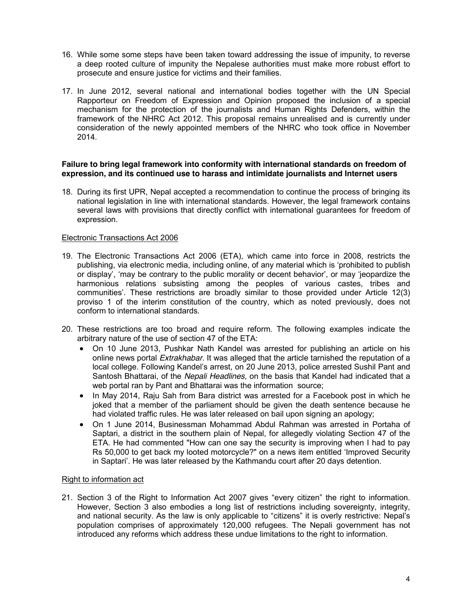- 16. While some some steps have been taken toward addressing the issue of impunity, to reverse a deep rooted culture of impunity the Nepalese authorities must make more robust effort to prosecute and ensure justice for victims and their families.
- 17. In June 2012, several national and international bodies together with the UN Special Rapporteur on Freedom of Expression and Opinion proposed the inclusion of a special mechanism for the protection of the journalists and Human Rights Defenders, within the framework of the NHRC Act 2012. This proposal remains unrealised and is currently under consideration of the newly appointed members of the NHRC who took office in November 2014.

### **Failure to bring legal framework into conformity with international standards on freedom of expression, and its continued use to harass and intimidate journalists and Internet users**

18. During its first UPR, Nepal accepted a recommendation to continue the process of bringing its national legislation in line with international standards. However, the legal framework contains several laws with provisions that directly conflict with international guarantees for freedom of expression.

### Electronic Transactions Act 2006

- 19. The Electronic Transactions Act 2006 (ETA), which came into force in 2008, restricts the publishing, via electronic media, including online, of any material which is 'prohibited to publish or display', 'may be contrary to the public morality or decent behavior', or may 'jeopardize the harmonious relations subsisting among the peoples of various castes, tribes and communities'. These restrictions are broadly similar to those provided under Article 12(3) proviso 1 of the interim constitution of the country, which as noted previously, does not conform to international standards.
- 20. These restrictions are too broad and require reform. The following examples indicate the arbitrary nature of the use of section 47 of the ETA:
	- On 10 June 2013, Pushkar Nath Kandel was arrested for publishing an article on his online news portal *Extrakhabar.* It was alleged that the article tarnished the reputation of a local college. Following Kandel's arrest, on 20 June 2013, police arrested Sushil Pant and Santosh Bhattarai, of the *Nepali Headlines*, on the basis that Kandel had indicated that a web portal ran by Pant and Bhattarai was the information source;
	- In May 2014, Raju Sah from Bara district was arrested for a Facebook post in which he joked that a member of the parliament should be given the death sentence because he had violated traffic rules. He was later released on bail upon signing an apology;
	- On 1 June 2014, Businessman Mohammad Abdul Rahman was arrested in Portaha of Saptari, a district in the southern plain of Nepal, for allegedly violating Section 47 of the ETA. He had commented "How can one say the security is improving when I had to pay Rs 50,000 to get back my looted motorcycle?" on a news item entitled 'Improved Security in Saptari'. He was later released by the Kathmandu court after 20 days detention.

#### Right to information act

21. Section 3 of the Right to Information Act 2007 gives "every citizen" the right to information. However, Section 3 also embodies a long list of restrictions including sovereignty, integrity, and national security. As the law is only applicable to "citizens" it is overly restrictive: Nepal's population comprises of approximately 120,000 refugees. The Nepali government has not introduced any reforms which address these undue limitations to the right to information.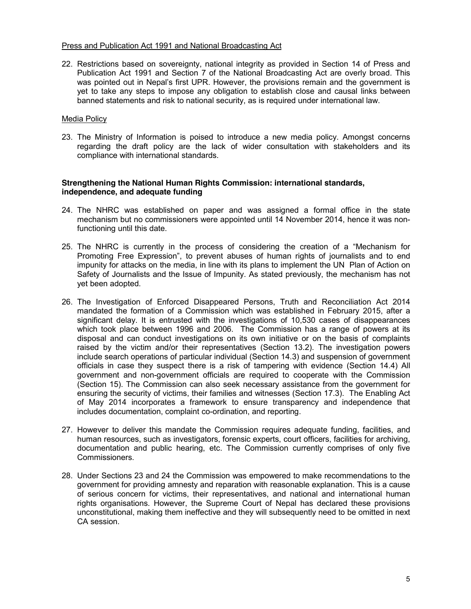#### Press and Publication Act 1991 and National Broadcasting Act

22. Restrictions based on sovereignty, national integrity as provided in Section 14 of Press and Publication Act 1991 and Section 7 of the National Broadcasting Act are overly broad. This was pointed out in Nepal's first UPR. However, the provisions remain and the government is yet to take any steps to impose any obligation to establish close and causal links between banned statements and risk to national security, as is required under international law.

### Media Policy

23. The Ministry of Information is poised to introduce a new media policy. Amongst concerns regarding the draft policy are the lack of wider consultation with stakeholders and its compliance with international standards.

### **Strengthening the National Human Rights Commission: international standards, independence, and adequate funding**

- 24. The NHRC was established on paper and was assigned a formal office in the state mechanism but no commissioners were appointed until 14 November 2014, hence it was nonfunctioning until this date.
- 25. The NHRC is currently in the process of considering the creation of a "Mechanism for Promoting Free Expression", to prevent abuses of human rights of journalists and to end impunity for attacks on the media, in line with its plans to implement the UN Plan of Action on Safety of Journalists and the Issue of Impunity. As stated previously, the mechanism has not yet been adopted.
- 26. The Investigation of Enforced Disappeared Persons, Truth and Reconciliation Act 2014 mandated the formation of a Commission which was established in February 2015, after a significant delay. It is entrusted with the investigations of 10,530 cases of disappearances which took place between 1996 and 2006. The Commission has a range of powers at its disposal and can conduct investigations on its own initiative or on the basis of complaints raised by the victim and/or their representatives (Section 13.2). The investigation powers include search operations of particular individual (Section 14.3) and suspension of government officials in case they suspect there is a risk of tampering with evidence (Section 14.4) All government and non-government officials are required to cooperate with the Commission (Section 15). The Commission can also seek necessary assistance from the government for ensuring the security of victims, their families and witnesses (Section 17.3). The Enabling Act of May 2014 incorporates a framework to ensure transparency and independence that includes documentation, complaint co-ordination, and reporting.
- 27. However to deliver this mandate the Commission requires adequate funding, facilities, and human resources, such as investigators, forensic experts, court officers, facilities for archiving, documentation and public hearing, etc. The Commission currently comprises of only five Commissioners.
- 28. Under Sections 23 and 24 the Commission was empowered to make recommendations to the government for providing amnesty and reparation with reasonable explanation. This is a cause of serious concern for victims, their representatives, and national and international human rights organisations. However, the Supreme Court of Nepal has declared these provisions unconstitutional, making them ineffective and they will subsequently need to be omitted in next CA session.